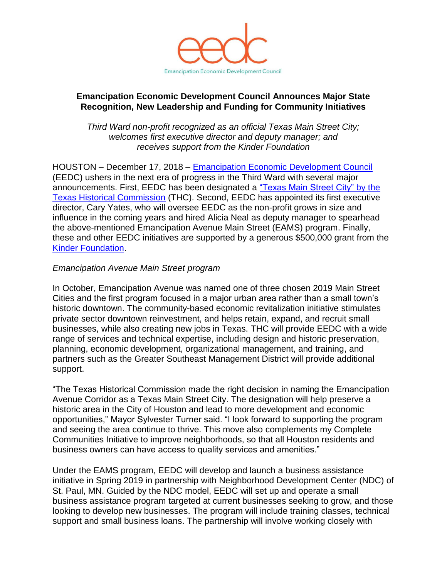

## **Emancipation Economic Development Council Announces Major State Recognition, New Leadership and Funding for Community Initiatives**

*Third Ward non-profit recognized as an official Texas Main Street City; welcomes first executive director and deputy manager; and receives support from the Kinder Foundation* 

HOUSTON – December 17, 2018 – [Emancipation Economic Development Council](http://emancipationhouston.org/) (EEDC) ushers in the next era of progress in the Third Ward with several major announcements. First, EEDC has been designated a ["Texas Main Street](http://www.thc.texas.gov/public/upload/FINAL%20Main%20Street%20Press%20Release_Granger%20Mesquite%20Emancipation%20Ave.pdf) City" by the [Texas Historical Commission](http://www.thc.texas.gov/public/upload/FINAL%20Main%20Street%20Press%20Release_Granger%20Mesquite%20Emancipation%20Ave.pdf) (THC). Second, EEDC has appointed its first executive director, Cary Yates, who will oversee EEDC as the non-profit grows in size and influence in the coming years and hired Alicia Neal as deputy manager to spearhead the above-mentioned Emancipation Avenue Main Street (EAMS) program. Finally, these and other EEDC initiatives are supported by a generous \$500,000 grant from the [Kinder Foundation.](http://kinderfoundation.org/major-gifts/quality-of-life/third-ward-houston/)

## *Emancipation Avenue Main Street program*

In October, Emancipation Avenue was named one of three chosen 2019 Main Street Cities and the first program focused in a major urban area rather than a small town's historic downtown. The community-based economic revitalization initiative stimulates private sector downtown reinvestment, and helps retain, expand, and recruit small businesses, while also creating new jobs in Texas. THC will provide EEDC with a wide range of services and technical expertise, including design and historic preservation, planning, economic development, organizational management, and training, and partners such as the Greater Southeast Management District will provide additional support.

"The Texas Historical Commission made the right decision in naming the Emancipation Avenue Corridor as a Texas Main Street City. The designation will help preserve a historic area in the City of Houston and lead to more development and economic opportunities," Mayor Sylvester Turner said. "I look forward to supporting the program and seeing the area continue to thrive. This move also complements my Complete Communities Initiative to improve neighborhoods, so that all Houston residents and business owners can have access to quality services and amenities."

Under the EAMS program, EEDC will develop and launch a business assistance initiative in Spring 2019 in partnership with Neighborhood Development Center (NDC) of St. Paul, MN. Guided by the NDC model, EEDC will set up and operate a small business assistance program targeted at current businesses seeking to grow, and those looking to develop new businesses. The program will include training classes, technical support and small business loans. The partnership will involve working closely with